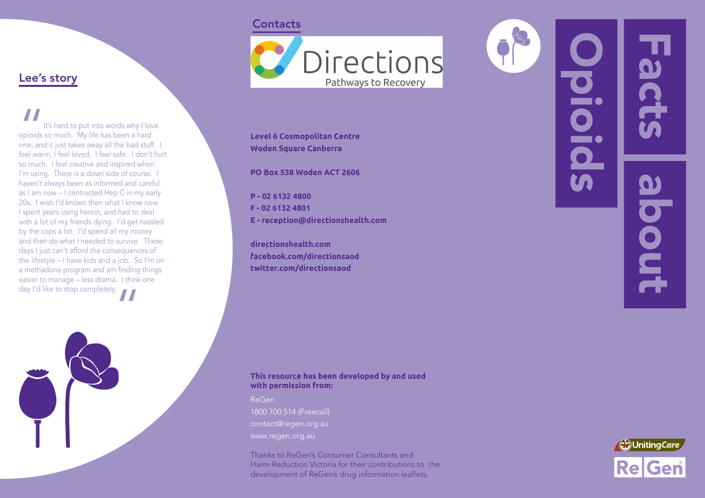### **Contacts**



**Level 6 Cosmopolitan Centre Woden Square Canberra**

**PO Box 538 Woden ACT 2606**

**P - 02 6132 4800 F - 02 6132 4801 E - reception@directionshealth.com**

**directionshealth.com facebook.com/directionsaod twitter.com/directionsaod**

# DIO. pout



Lee's story

It's hard to put into words why I love<br>opioids so much. My life has been a hard<br>one, and it just takes away all the bad stuff. I<br>feel warm, I feel loved. I feel safe. I don't hurt It's hard to put into words why I love

opioids so much. My life has been a hard one, and it just takes away all the bad stuff. I

so much. I feel creative and inspired when I'm using. There is a down side of course. haven't always been as informed and careful as I am now – I contracted Hep C in my early 20s. I wish I'd known then what I know now. I spent years using heroin, and had to deal with a lot of my friends dying. I'd get hassled by the cops a lot. I'd spend all my money and then do what I needed to survive. These days I just can't afford the consequences of the lifestyle – I have kids and a job. So I'm on a methadone program and am finding things easier to manage – less drama. I think one

day I'd like to stop completely.

### **This resource has been developed by and used with permission from:**

ReGen 1800 700 514 (Freecall) contact@regen.org.au www.regen.org.au

Thanks to ReGen's Consumer Consultants and Harm Reduction Victoria for their contributions to the development of ReGen's drug information leaflets.